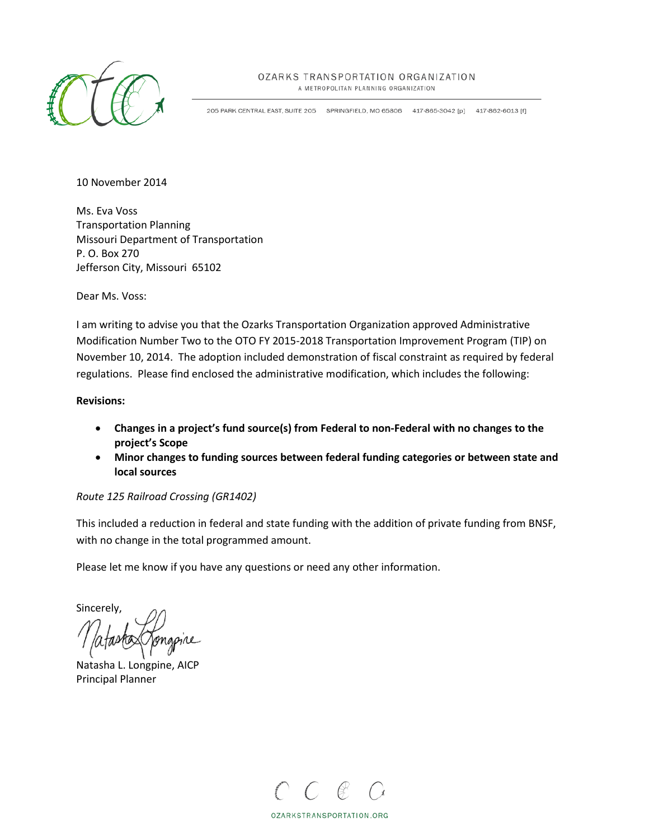

## OZARKS TRANSPORTATION ORGANIZATION

A METROPOLITAN PLANNING ORGANIZATION

205 PARK CENTRAL EAST, SUITE 205 SPRINGFIELD, MO 65806 417-865-3042 [p] 417-862-6013 [f]

10 November 2014

Ms. Eva Voss Transportation Planning Missouri Department of Transportation P. O. Box 270 Jefferson City, Missouri 65102

Dear Ms. Voss:

I am writing to advise you that the Ozarks Transportation Organization approved Administrative Modification Number Two to the OTO FY 2015-2018 Transportation Improvement Program (TIP) on November 10, 2014. The adoption included demonstration of fiscal constraint as required by federal regulations. Please find enclosed the administrative modification, which includes the following:

## **Revisions:**

- **Changes in a project's fund source(s) from Federal to non-Federal with no changes to the project's Scope**
- **Minor changes to funding sources between federal funding categories or between state and local sources**

## *Route 125 Railroad Crossing (GR1402)*

This included a reduction in federal and state funding with the addition of private funding from BNSF, with no change in the total programmed amount.

Please let me know if you have any questions or need any other information.

Sincerely,

Natasha L. Longpine, AICP Principal Planner



OZARKSTRANSPORTATION.ORG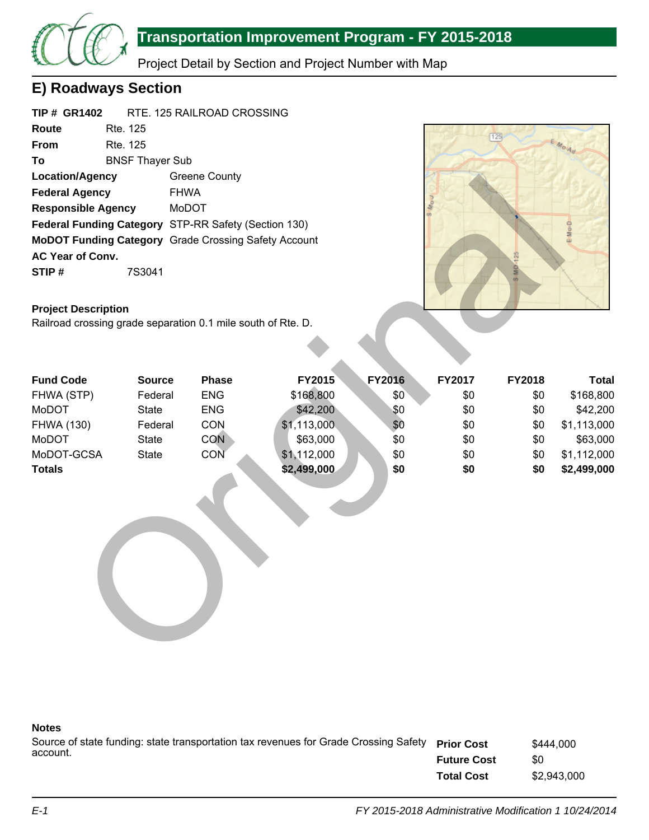

# **Transportation Improvement Program - FY 2015-2018**

Project Detail by Section and Project Number with Map

# **E) Roadways Section**

| <b>TIP # GR1402</b>       |                        | RTE. 125 RAILROAD CROSSING                                  |
|---------------------------|------------------------|-------------------------------------------------------------|
| Route                     | Rte. 125               |                                                             |
| From                      | Rte. 125               |                                                             |
| To                        | <b>BNSF Thayer Sub</b> |                                                             |
| <b>Location/Agency</b>    |                        | <b>Greene County</b>                                        |
| <b>Federal Agency</b>     |                        | <b>FHWA</b>                                                 |
| <b>Responsible Agency</b> |                        | <b>MoDOT</b>                                                |
|                           |                        | Federal Funding Category STP-RR Safety (Section 130)        |
|                           |                        | <b>MoDOT Funding Category</b> Grade Crossing Safety Account |
| <b>AC Year of Conv.</b>   |                        |                                                             |
| STIP#                     | 7S3041                 |                                                             |



## **Project Description**

| Location/Agency                                              |               | Greene County |             |               |        |        |              |
|--------------------------------------------------------------|---------------|---------------|-------------|---------------|--------|--------|--------------|
| <b>Federal Agency</b>                                        | <b>FHWA</b>   |               |             |               |        |        |              |
| <b>Responsible Agency</b>                                    |               | <b>MoDOT</b>  |             |               |        |        |              |
| Federal Funding Category STP-RR Safety (Section 130)         |               |               |             |               |        |        | E-Mo-D       |
| MoDOT Funding Category Grade Crossing Safety Account         |               |               |             |               |        |        |              |
| AC Year of Conv.                                             |               |               |             |               |        |        |              |
| STIP#                                                        | 7S3041        |               |             |               |        |        |              |
|                                                              |               |               |             |               |        |        |              |
| <b>Project Description</b>                                   |               |               |             |               |        |        |              |
| Railroad crossing grade separation 0.1 mile south of Rte. D. |               |               |             |               |        |        |              |
|                                                              |               |               |             |               |        |        |              |
|                                                              |               |               |             |               |        |        |              |
|                                                              |               |               |             |               |        |        |              |
| <b>Fund Code</b>                                             | <b>Source</b> | <b>Phase</b>  | FY2015      | <b>FY2016</b> | FY2017 | FY2018 | <b>Total</b> |
| FHWA (STP)                                                   | Federal       | <b>ENG</b>    | \$168,800   | \$0           | \$0    | \$0    | \$168,800    |
| MoDOT                                                        | <b>State</b>  | <b>ENG</b>    | \$42,200    | \$0           | \$0    | \$0    | \$42,200     |
| <b>FHWA (130)</b>                                            | Federal       | CON           | \$1,113,000 | \$0           | \$0    | \$0    | \$1,113,000  |
| MoDOT                                                        | <b>State</b>  | <b>CON</b>    | \$63,000    | \$0           | \$0    | \$0    | \$63,000     |
| MoDOT-GCSA                                                   | <b>State</b>  | CON           | \$1,112,000 | \$0           | \$0    | \$0    | \$1,112,000  |
| <b>Totals</b>                                                |               |               | \$2,499,000 | \$0           | \$0    | \$0    | \$2,499,000  |
|                                                              |               |               |             |               |        |        |              |
|                                                              |               |               |             |               |        |        |              |
|                                                              |               |               |             |               |        |        |              |
|                                                              |               |               |             |               |        |        |              |
|                                                              |               |               |             |               |        |        |              |
|                                                              |               |               |             |               |        |        |              |
|                                                              |               |               |             |               |        |        |              |
|                                                              |               |               |             |               |        |        |              |
|                                                              |               |               |             |               |        |        |              |
|                                                              |               |               |             |               |        |        |              |
|                                                              |               |               |             |               |        |        |              |
|                                                              |               |               |             |               |        |        |              |

## **Notes**

| Source of state funding: state transportation tax revenues for Grade Crossing Safety Prior Cost |                    | \$444,000   |
|-------------------------------------------------------------------------------------------------|--------------------|-------------|
| account.                                                                                        | <b>Future Cost</b> | \$0         |
|                                                                                                 | <b>Total Cost</b>  | \$2.943.000 |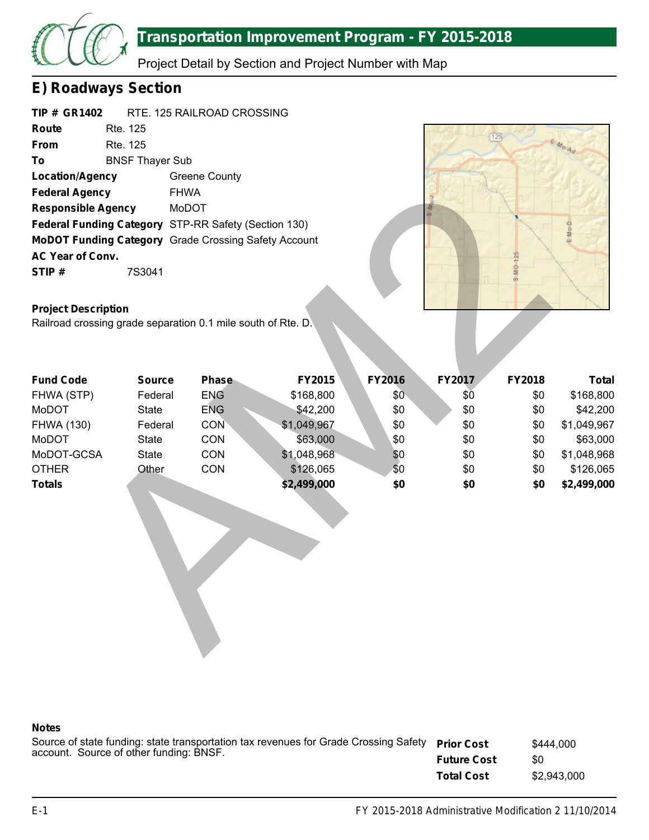

# **Transportation Improvement Program - FY 2015-2018**

Project Detail by Section and Project Number with Map

# **E) Roadways Section**

| <b>TIP # GR1402</b>       |                        | RTE. 125 RAILROAD CROSSING                                  |
|---------------------------|------------------------|-------------------------------------------------------------|
| Route                     | Rte. 125               |                                                             |
| From                      | Rte. 125               |                                                             |
| Τo                        | <b>BNSF Thayer Sub</b> |                                                             |
| <b>Location/Agency</b>    |                        | Greene County                                               |
| <b>Federal Agency</b>     |                        | <b>FHWA</b>                                                 |
| <b>Responsible Agency</b> |                        | MoDOT                                                       |
|                           |                        | Federal Funding Category STP-RR Safety (Section 130)        |
|                           |                        | <b>MoDOT Funding Category</b> Grade Crossing Safety Account |
| <b>AC Year of Conv.</b>   |                        |                                                             |
| STIP#                     | 7S3041                 |                                                             |



## **Project Description**

| <b>Federal Agency</b>                                                                      | <b>FHWA</b>   |            |             |        |        |        |              |
|--------------------------------------------------------------------------------------------|---------------|------------|-------------|--------|--------|--------|--------------|
| <b>Responsible Agency</b>                                                                  |               | MoDOT      |             |        |        |        |              |
| Federal Funding Category STP-RR Safety (Section 130)                                       |               |            |             |        |        |        | E-Mo-D       |
| MoDOT Funding Category Grade Crossing Safety Account                                       |               |            |             |        |        |        |              |
| AC Year of Conv.                                                                           |               |            |             |        |        |        |              |
| STIP#                                                                                      | 7S3041        |            |             |        |        | MO-125 |              |
|                                                                                            |               |            |             |        |        |        |              |
|                                                                                            |               |            |             |        |        |        |              |
| <b>Project Description</b><br>Railroad crossing grade separation 0.1 mile south of Rte. D. |               |            |             |        |        |        |              |
|                                                                                            |               |            |             |        |        |        |              |
|                                                                                            |               |            |             |        |        |        |              |
|                                                                                            |               |            |             |        |        |        |              |
| <b>Fund Code</b>                                                                           | <b>Source</b> | Phase      | FY2015      | FY2016 | FY2017 | FY2018 | <b>Total</b> |
| FHWA (STP)                                                                                 | Federal       | <b>ENG</b> | \$168,800   | \$0    | \$Ō    | \$0    | \$168,800    |
| MoDOT                                                                                      | <b>State</b>  | <b>ENG</b> | \$42,200    | \$0    | \$0    | \$0    | \$42,200     |
| <b>FHWA (130)</b>                                                                          | Federal       | <b>CON</b> | \$1,049,967 | \$0    | \$0    | \$0    | \$1,049,967  |
| MoDOT                                                                                      | <b>State</b>  | CON        | \$63,000    | \$0    | \$0    | \$0    | \$63,000     |
| MoDOT-GCSA                                                                                 | <b>State</b>  | CON        | \$1,048,968 | \$0    | \$0    | \$0    | \$1,048,968  |
| <b>OTHER</b>                                                                               | Other         | CON        | \$126,065   | \$0    | \$0    | \$0    | \$126,065    |
| <b>Totals</b>                                                                              |               |            | \$2,499,000 | \$0    | \$0    | \$0    | \$2,499,000  |
|                                                                                            |               |            |             |        |        |        |              |
|                                                                                            |               |            |             |        |        |        |              |
|                                                                                            |               |            |             |        |        |        |              |
|                                                                                            |               |            |             |        |        |        |              |
|                                                                                            |               |            |             |        |        |        |              |
|                                                                                            |               |            |             |        |        |        |              |
|                                                                                            |               |            |             |        |        |        |              |
|                                                                                            |               |            |             |        |        |        |              |
|                                                                                            |               |            |             |        |        |        |              |

## **Notes**

| Source of state funding: state transportation tax revenues for Grade Crossing Safety | <b>Prior Cost</b><br>\$444,000<br>\$0<br><b>Future Cost</b><br><b>Total Cost</b> |             |
|--------------------------------------------------------------------------------------|----------------------------------------------------------------------------------|-------------|
| account. Source of other funding: BNSF.                                              |                                                                                  |             |
|                                                                                      |                                                                                  | \$2,943,000 |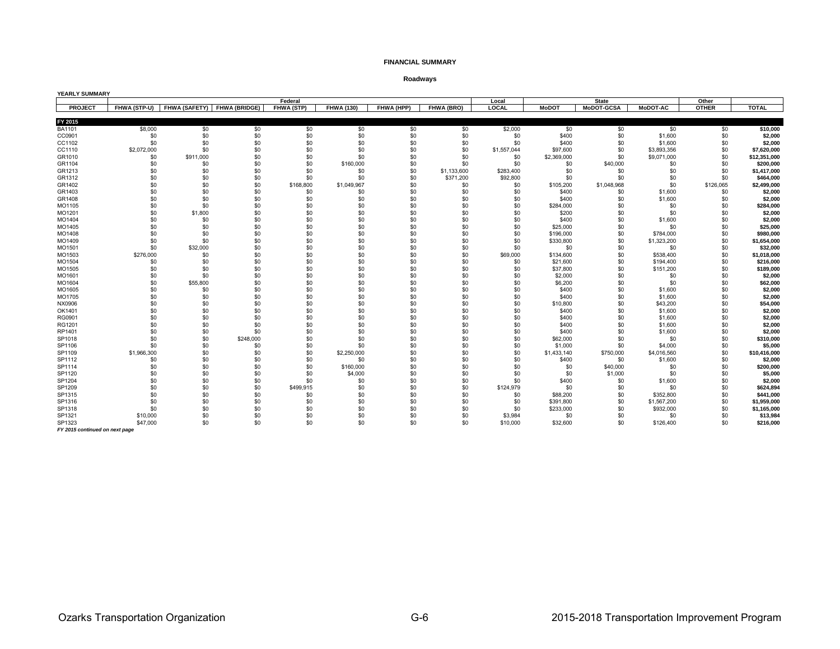#### **FINANCIAL SUMMARY**

**Roadways**

| YEARLY SUMMARY |              |           |                             |                   |                   |            |             |             |              |              |                 |              |              |
|----------------|--------------|-----------|-----------------------------|-------------------|-------------------|------------|-------------|-------------|--------------|--------------|-----------------|--------------|--------------|
|                |              |           |                             | Federal           |                   |            |             | Local       |              | <b>State</b> |                 | Other        |              |
| <b>PROJECT</b> | FHWA (STP-U) |           | FHWA (SAFETY) FHWA (BRIDGE) | <b>FHWA (STP)</b> | <b>FHWA (130)</b> | FHWA (HPP) | FHWA (BRO)  | LOCAL       | <b>MoDOT</b> | MoDOT-GCSA   | <b>MoDOT-AC</b> | <b>OTHER</b> | <b>TOTAL</b> |
| FY 2015        |              |           |                             |                   |                   |            |             |             |              |              |                 |              |              |
| BA1101         | \$8,000      | \$0       | \$0                         | \$0               | \$0               | \$0        | \$0         | \$2,000     | \$0          | \$0          | \$0             | \$0          | \$10,000     |
| CC0901         | \$0          | \$0       | \$0                         | \$0               | \$0               | \$0        | \$0         | \$0         | \$400        | \$0          | \$1,600         | \$0          | \$2,000      |
| CC1102         | \$0          | \$0       | \$0                         | \$0               | \$0               | \$0        | \$0         | \$0         | \$400        | \$0          | \$1,600         | \$0          | \$2,000      |
| CC1110         | \$2,072,000  | \$0       | \$0                         | \$0               | \$0               | \$0        | \$0         | \$1,557,044 | \$97,600     | \$0          | \$3,893,356     | \$0          | \$7,620,000  |
| GR1010         | \$0          | \$911,000 | \$0                         | \$0               | \$0               | \$0        | \$0         | \$0         | \$2,369,000  | \$0          | \$9,071,000     | \$0          | \$12,351,000 |
| GR1104         | \$0          | \$0       | \$0                         | \$0               | \$160,000         | \$0        | \$0         | \$0         | \$0          | \$40,000     | \$0             | \$0          | \$200.000    |
| GR1213         | \$0          | \$0       | \$0                         | \$0               | \$0               | \$0        | \$1,133,600 | \$283,400   | \$0          | \$0          | \$0             | \$0          | \$1,417,000  |
| GR1312         | \$0          | \$0       | \$0                         | \$0               | \$0               | \$0        | \$371,200   | \$92,800    | \$0          | \$0          | \$0             | \$0          | \$464,000    |
| GR1402         | \$0          | \$0       | \$0                         | \$168,800         | \$1,049,967       | \$0        | \$0         | \$0         | \$105,200    | \$1,048,968  | \$0             | \$126,065    | \$2,499,000  |
| GR1403         | \$0          | \$0       | \$0                         | \$0               | \$0               | \$0        | \$0         | \$0         | \$400        | \$0          | \$1,600         | \$0          | \$2,000      |
| GR1408         | \$0          | \$0       | \$0                         | \$0               | \$0               | \$0        | \$0         | \$0         | \$400        | \$0          | \$1,600         | \$0          | \$2,000      |
| MO1105         | \$0          | \$0       | \$0                         | \$0               | \$0               | \$0        | \$0         | \$0         | \$284,000    | \$0          | \$0             | \$0          | \$284,000    |
| MO1201         | \$0          | \$1,800   | \$0                         | \$0               | \$0               | \$0        | \$0         | \$0         | \$200        | \$0          | \$0             | \$0          | \$2,000      |
| MO1404         | \$0          | \$0       | \$0                         | \$0               | \$0               | \$0        | \$0         | \$0         | \$400        | \$0          | \$1,600         | \$0          | \$2,000      |
| MO1405         | \$0          | \$0       | \$0                         | \$0               | \$0               | \$0        | \$0         | \$0         | \$25,000     | \$0          | \$0             | \$0          | \$25,000     |
| MO1408         | \$0          | \$0       | \$0                         | \$0               | \$0               | \$0        | \$0         | \$0         | \$196,000    | \$0          | \$784.000       | \$0          | \$980,000    |
| MO1409         | \$0          | \$0       | \$0                         | \$0               | \$0               | \$0        | \$0         | \$0         | \$330,800    | \$0          | \$1,323,200     | \$0          | \$1,654,000  |
| MO1501         | \$0          | \$32,000  | \$0                         | \$0               | \$0               | \$0        | \$0         | \$0         | \$0          | \$0          | \$0             | \$0          | \$32,000     |
| MO1503         | \$276,000    | \$0       | \$0                         | \$0               | \$0               | \$0        | \$0         | \$69,000    | \$134,600    | \$0          | \$538,400       | \$0          | \$1,018,000  |
| MO1504         | \$0          | \$0       | \$0                         | \$0               | \$0               | \$0        | \$0         | \$0         | \$21,600     | \$0          | \$194,400       | \$0          | \$216,000    |
| MO1505         | \$0          | \$0       | \$0                         | \$0               | \$0               | \$0        | \$0         | \$0         | \$37,800     | \$0          | \$151,200       | \$0          | \$189,000    |
| MO1601         | \$0          | \$0       | \$0                         | \$0               | \$0               | \$0        | \$0         | \$0         | \$2,000      | \$0          | \$0             | \$0          | \$2,000      |
| MO1604         | \$0          | \$55,800  | \$0                         | \$0               | \$0               | \$0        | \$0         | \$0         | \$6,200      | \$0          | \$0             | \$0          | \$62,000     |
| MO1605         | \$0          | \$0       | \$0                         | \$0               | \$0               | \$0        | \$0         | \$0         | \$400        | \$0          | \$1,600         | \$0          | \$2,000      |
| MO1705         | \$0          | \$0       | \$0                         | \$0               | \$0               | \$0        | \$0         | \$0         | \$400        | \$0          | \$1,600         | \$0          | \$2,000      |
| NX0906         | \$0          | \$0       | \$0                         | \$0               | \$0               | \$0        | \$0         | \$0         | \$10,800     | \$0          | \$43,200        | \$0          | \$54,000     |
| OK1401         | \$0          | \$0       | \$0                         | \$0               | \$0               | \$0        | \$0         | \$0         | \$400        | \$0          | \$1,600         | \$0          | \$2,000      |
| RG0901         | \$0          | \$0       | \$0                         | \$0               | \$0               | \$0        | \$0         | \$0         | \$400        | \$0          | \$1,600         | \$0          | \$2,000      |
| RG1201         | \$0          | \$0       | \$0                         | \$0               | \$0               | \$0        | \$0         | \$0         | \$400        | \$0          | \$1,600         | \$0          | \$2,000      |
| RP1401         | \$0          | \$0       | \$0                         | \$0               | \$0               | \$0        | \$0         | \$0         | \$400        | \$0          | \$1,600         | \$0          | \$2,000      |
| SP1018         | \$0          | \$0       | \$248,000                   | \$0               | \$0               | \$0        | \$0         | \$0         | \$62,000     | \$0          | \$0             | \$0          | \$310,000    |
| SP1106         | \$0          | \$0       | \$0                         | \$0               | \$0               | \$0        | \$0         | \$0         | \$1,000      | \$0          | \$4,000         | \$0          | \$5,000      |
| SP1109         | \$1,966,300  | \$0       | \$0                         | \$0               | \$2,250,000       | \$0        | \$0         | \$0         | \$1,433,140  | \$750,000    | \$4,016,560     | \$0          | \$10,416,000 |
| SP1112         | \$0          | \$0       | \$0                         | \$0               | \$0               | \$0        | \$0         | \$0         | \$400        | \$0          | \$1,600         | \$0          | \$2,000      |
| SP1114         | \$0          | \$0       | \$0                         | \$0               | \$160,000         | \$0        | \$0         | \$0         | \$0          | \$40,000     | \$0             | \$0          | \$200,000    |
| SP1120         | \$0          | \$0       | \$0                         | \$0               | \$4,000           | \$0        | \$0         | \$0         | \$0          | \$1,000      | \$0             | \$0          | \$5,000      |
| SP1204         | \$0          | \$0       | \$0                         | \$0               | \$0               | \$0        | \$0         | \$0         | \$400        | \$0          | \$1,600         | \$0          | \$2,000      |
| SP1209         | \$0          | \$0       | \$0                         | \$499,915         | \$0               | \$0        | \$0         | \$124,979   | \$0          | \$0          | \$0             | \$0          | \$624,894    |
| SP1315         | \$0          | \$0       | \$0                         | \$0               | \$0               | \$0        | \$0         | \$0         | \$88,200     | \$0          | \$352,800       | \$0          | \$441,000    |
| SP1316         | \$0          | \$0       | \$0                         | \$0               | \$0               | \$0        | \$0         | \$0         | \$391,800    | \$0          | \$1,567,200     | \$0          | \$1,959,000  |
| SP1318         | \$0          | \$0       | \$0                         | \$0               | \$0               | \$0        | \$0         | \$0         | \$233,000    | \$0          | \$932,000       | \$0          | \$1,165,000  |
| SP1321         | \$10,000     | \$0       | \$0                         | \$0               | \$0               | \$0        | \$0         | \$3,984     | \$0          | \$0          | \$0             | \$0          | \$13,984     |
| SP1323         | \$47,000     | \$0       | \$0                         | \$0               | \$0               | \$0        | \$0         | \$10,000    | \$32,600     | \$0          | \$126,400       | \$0          | \$216,000    |

*FY 2015 continued on next page*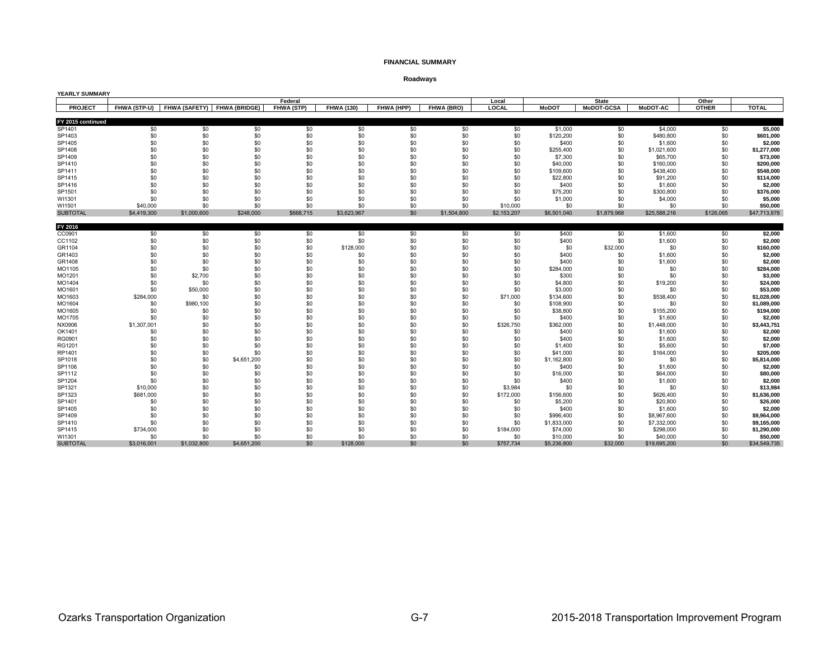#### **FINANCIAL SUMMARY**

### **Roadways**

| Federal<br><b>State</b><br>Other<br>Local<br><b>PROJECT</b><br>FHWA (SAFETY)<br><b>FHWA (BRIDGE)</b><br><b>FHWA (STP)</b><br>FHWA (130)<br>FHWA (HPP)<br>FHWA (BRO)<br><b>LOCAL</b><br><b>MoDOT</b><br><b>MoDOT-GCSA</b><br><b>MoDOT-AC</b><br><b>OTHER</b><br>FHWA (STP-U)<br>FY 2015 continued<br>\$0<br>\$0<br>\$0<br>\$0<br>\$0<br>\$0<br>\$1,000<br>\$0<br>\$0<br>SP1401<br>\$0<br>\$0<br>\$4,000<br>\$0<br>\$0<br>\$0<br>\$0<br>SP1403<br>\$0<br>\$0<br>\$0<br>\$0<br>\$0<br>\$120,200<br>\$480,800<br>\$0 | <b>TOTAL</b><br>\$5,000<br>\$601,000<br>\$2,000<br>\$1,277,000<br>\$73,000<br>\$200,000 |
|------------------------------------------------------------------------------------------------------------------------------------------------------------------------------------------------------------------------------------------------------------------------------------------------------------------------------------------------------------------------------------------------------------------------------------------------------------------------------------------------------------------|-----------------------------------------------------------------------------------------|
|                                                                                                                                                                                                                                                                                                                                                                                                                                                                                                                  |                                                                                         |
|                                                                                                                                                                                                                                                                                                                                                                                                                                                                                                                  |                                                                                         |
|                                                                                                                                                                                                                                                                                                                                                                                                                                                                                                                  |                                                                                         |
|                                                                                                                                                                                                                                                                                                                                                                                                                                                                                                                  |                                                                                         |
|                                                                                                                                                                                                                                                                                                                                                                                                                                                                                                                  |                                                                                         |
| \$0<br>\$0<br>\$0<br>\$0<br>\$0<br>\$0<br>\$0<br>SP1405<br>\$0<br>\$0<br>\$400<br>\$1,600<br>\$0                                                                                                                                                                                                                                                                                                                                                                                                                 |                                                                                         |
| \$0<br>\$0<br>\$0<br>\$0<br>\$0<br>\$0<br>\$0<br>\$0<br>SP1408<br>\$0<br>\$0<br>\$255,400<br>\$1,021,600                                                                                                                                                                                                                                                                                                                                                                                                         |                                                                                         |
| \$0<br>\$0<br>\$0<br>\$0<br>\$0<br>\$0<br>\$0<br>\$0<br>\$0<br>SP1409<br>\$0<br>\$7,300<br>\$65,700                                                                                                                                                                                                                                                                                                                                                                                                              |                                                                                         |
| \$0<br>\$0<br>\$0<br>\$0<br>\$0<br>\$0<br>\$0<br>\$0<br>\$0<br>\$0<br>SP1410<br>\$40,000<br>\$160,000                                                                                                                                                                                                                                                                                                                                                                                                            |                                                                                         |
| \$0<br>\$0<br>\$0<br>\$0<br>\$0<br>\$0<br>\$0<br>\$0<br>\$0<br>SP1411<br>\$0<br>\$109,600<br>\$438,400                                                                                                                                                                                                                                                                                                                                                                                                           | \$548,000                                                                               |
| \$0<br>\$0<br>\$0<br>\$0<br>\$0<br>\$0<br>\$0<br>\$0<br>SP1415<br>\$0<br>\$22,800<br>\$0<br>\$91,200                                                                                                                                                                                                                                                                                                                                                                                                             | \$114,000                                                                               |
| \$0<br>\$0<br>\$0<br>\$0<br>\$0<br>\$0<br>\$0<br>SP1416<br>\$0<br>\$0<br>\$400<br>\$1,600<br>\$0                                                                                                                                                                                                                                                                                                                                                                                                                 | \$2,000                                                                                 |
| \$0<br>\$0<br>\$0<br>\$0<br>\$0<br>SP1501<br>\$0<br>\$0<br>\$0<br>\$0<br>\$75,200<br>\$300,800<br>\$0                                                                                                                                                                                                                                                                                                                                                                                                            | \$376,000                                                                               |
| \$0<br>\$0<br>\$0<br>\$0<br>\$0<br>\$0<br>\$0<br>WI1301<br>\$0<br>\$0<br>\$1,000<br>\$4,000<br>\$0                                                                                                                                                                                                                                                                                                                                                                                                               | \$5,000                                                                                 |
| \$0<br>\$0<br>\$0<br>\$0<br>\$0<br>WI1501<br>\$40,000<br>\$0<br>\$0<br>\$0<br>\$10,000<br>\$0<br>\$0                                                                                                                                                                                                                                                                                                                                                                                                             | \$50.000                                                                                |
| <b>SUBTOTAL</b><br>\$4,419,300<br>\$1,000,600<br>\$248,000<br>\$668,715<br>\$3,623,967<br>\$0<br>\$1,504,800<br>\$1,879,968<br>\$126,065<br>\$2,153,207<br>\$6,501,040<br>\$25,588,216                                                                                                                                                                                                                                                                                                                           | \$47,713,878                                                                            |
|                                                                                                                                                                                                                                                                                                                                                                                                                                                                                                                  |                                                                                         |
| FY 2016                                                                                                                                                                                                                                                                                                                                                                                                                                                                                                          |                                                                                         |
| \$0<br>\$0<br>\$0<br>\$0<br>CC0901<br>\$0<br>\$0<br>\$0<br>\$0<br>\$0<br>\$400<br>\$1,600<br>\$0                                                                                                                                                                                                                                                                                                                                                                                                                 | \$2,000                                                                                 |
| \$0<br>\$0<br>\$0<br>\$0<br>\$0<br>\$0<br>\$0<br>CC1102<br>\$0<br>\$0<br>\$400<br>\$1,600<br>\$0                                                                                                                                                                                                                                                                                                                                                                                                                 | \$2,000                                                                                 |
| \$0<br>\$0<br>\$0<br>\$0<br>\$0<br>\$32,000<br>\$0<br>\$0<br>GR1104<br>\$128,000<br>\$0<br>\$0<br>\$0                                                                                                                                                                                                                                                                                                                                                                                                            | \$160,000                                                                               |
| \$0<br>\$0<br>\$0<br>\$0<br>\$0<br>\$0<br>GR1403<br>\$0<br>\$0<br>\$400<br>\$0<br>\$1,600<br>\$0                                                                                                                                                                                                                                                                                                                                                                                                                 | \$2,000                                                                                 |
| \$0<br>\$0<br>\$0<br>\$0<br>\$0<br>\$0<br>GR1408<br>\$0<br>\$0<br>\$400<br>\$0<br>\$1,600<br>\$0                                                                                                                                                                                                                                                                                                                                                                                                                 | \$2,000                                                                                 |
| \$0<br>\$0<br>\$0<br>\$0<br>\$0<br>MO1105<br>\$0<br>\$0<br>\$0<br>\$284,000<br>\$0<br>\$0<br>\$0                                                                                                                                                                                                                                                                                                                                                                                                                 | \$284,000                                                                               |
| \$0<br>\$0<br>\$0<br>MO1201<br>\$0<br>\$2,700<br>\$0<br>\$0<br>\$0<br>\$0<br>\$300<br>\$0<br>\$0                                                                                                                                                                                                                                                                                                                                                                                                                 | \$3,000                                                                                 |
| \$0<br>\$0<br>\$0<br>\$0<br>\$0<br>MO1404<br>\$0<br>\$0<br>\$0<br>\$0<br>\$4,800<br>\$19,200<br>\$0                                                                                                                                                                                                                                                                                                                                                                                                              | \$24,000                                                                                |
| \$0<br>\$0<br>\$0<br>\$0<br>\$0<br>\$0<br>\$0<br>\$0<br>\$3,000<br>\$0<br>\$0<br>MO1601<br>\$50,000                                                                                                                                                                                                                                                                                                                                                                                                              | \$53,000                                                                                |
| \$284,000<br>\$0<br>\$0<br>\$0<br>\$0<br>\$0<br>\$0<br>\$0<br>\$71,000<br>\$0<br>MO1603<br>\$134,600<br>\$538,400                                                                                                                                                                                                                                                                                                                                                                                                | \$1,028,000                                                                             |
| \$0<br>\$0<br>\$0<br>\$0<br>\$0<br>\$0<br>\$0<br>\$0<br>\$0<br>\$0<br>MO1604<br>\$980,100<br>\$108,900                                                                                                                                                                                                                                                                                                                                                                                                           | \$1,089,000                                                                             |
| \$0<br>\$0<br>\$0<br>\$0<br>\$0<br>\$0<br>MO1605<br>\$0<br>\$0<br>\$0<br>\$155,200<br>\$0<br>\$38,800                                                                                                                                                                                                                                                                                                                                                                                                            | \$194,000                                                                               |
| \$0<br>\$0<br>\$0<br>\$0<br>\$0<br>\$0<br>\$0<br>\$0<br>\$0<br>MO1705<br>\$0<br>\$400<br>\$1,600                                                                                                                                                                                                                                                                                                                                                                                                                 | \$2,000                                                                                 |
| \$1,307,001<br>\$0<br>\$0<br>\$0<br>\$0<br>\$0<br>\$0<br>\$0<br>\$0<br>NX0906<br>\$326,750<br>\$362,000<br>\$1,448,000                                                                                                                                                                                                                                                                                                                                                                                           | \$3,443,751                                                                             |
| \$0<br>\$0<br>\$0<br>\$0<br>\$0<br>\$0<br>\$0<br>\$0<br>\$0<br>\$400<br>\$1,600<br>\$0<br>OK1401                                                                                                                                                                                                                                                                                                                                                                                                                 | \$2,000                                                                                 |
| \$0<br>\$0<br>\$0<br>\$0<br>\$0<br>\$0<br>\$0<br>RG0901<br>\$0<br>\$0<br>\$400<br>\$1,600<br>\$0                                                                                                                                                                                                                                                                                                                                                                                                                 | \$2,000                                                                                 |
| \$0<br>\$0<br>\$0<br>\$0<br>\$0<br>\$0<br>\$0<br>\$0<br>\$0<br>\$1,400<br>\$5,600<br>\$0<br>RG1201                                                                                                                                                                                                                                                                                                                                                                                                               | \$7,000                                                                                 |
| \$0<br>\$0<br>\$0<br>\$0<br>RP1401<br>\$0<br>\$0<br>\$0<br>\$0<br>\$0<br>\$41,000<br>\$164,000<br>\$0                                                                                                                                                                                                                                                                                                                                                                                                            | \$205,000                                                                               |
| \$0<br>\$0<br>\$0<br>SP1018<br>\$0<br>\$4,651,200<br>\$0<br>\$0<br>\$0<br>\$0<br>\$1,162,800<br>\$0<br>\$0                                                                                                                                                                                                                                                                                                                                                                                                       | \$5,814,000                                                                             |
| \$0<br>\$0<br>\$0<br>\$0<br>\$0<br>SP1106<br>\$0<br>\$0<br>\$0<br>\$0<br>\$1,600<br>\$0<br>\$400                                                                                                                                                                                                                                                                                                                                                                                                                 | \$2,000                                                                                 |
| \$0<br>\$0<br>\$0<br>\$0<br>\$0<br>\$0<br>\$0<br>SP1112<br>\$0<br>\$0<br>\$64,000<br>\$0<br>\$16,000                                                                                                                                                                                                                                                                                                                                                                                                             | \$80,000                                                                                |
| \$0<br>\$0<br>\$0<br>\$0<br>\$0<br>\$0<br>\$0<br>\$0<br>\$0<br>SP1204<br>\$0<br>\$400<br>\$1,600                                                                                                                                                                                                                                                                                                                                                                                                                 | \$2,000                                                                                 |
| \$10,000<br>\$0<br>\$0<br>\$0<br>\$0<br>\$0<br>\$0<br>\$0<br>\$0<br>SP1321<br>\$3,984<br>\$0<br>\$0                                                                                                                                                                                                                                                                                                                                                                                                              | \$13,984                                                                                |
| \$681,000<br>\$0<br>\$0<br>\$0<br>\$0<br>\$0<br>\$0<br>\$172,000<br>\$0<br>\$0<br>SP1323<br>\$626,400<br>\$156,600                                                                                                                                                                                                                                                                                                                                                                                               | \$1,636,000                                                                             |
| \$0<br>\$0<br>\$0<br>\$0<br>SP1401<br>\$0<br>\$0<br>\$0<br>\$0<br>\$0<br>\$5,200<br>\$20,800<br>\$0                                                                                                                                                                                                                                                                                                                                                                                                              | \$26,000                                                                                |
| \$0<br>\$0<br>\$0<br>\$0<br>SP1405<br>\$0<br>\$0<br>\$0<br>\$0<br>\$0<br>\$400<br>\$1,600<br>\$0                                                                                                                                                                                                                                                                                                                                                                                                                 | \$2,000                                                                                 |
| \$0<br>\$0<br>\$0<br>\$0<br>\$0<br>SP1409<br>\$0<br>\$0<br>\$0<br>\$0<br>\$8,967,600<br>\$0<br>\$996,400                                                                                                                                                                                                                                                                                                                                                                                                         | \$9,964,000                                                                             |
| \$0<br>\$0<br>\$0<br>\$0<br>\$0<br>SP1410<br>\$0<br>\$0<br>\$0<br>\$0<br>\$1,833,000<br>\$7,332,000<br>\$0                                                                                                                                                                                                                                                                                                                                                                                                       | \$9,165,000                                                                             |
| \$0<br>SP1415<br>\$734,000<br>\$0<br>\$0<br>\$0<br>\$0<br>\$0<br>\$0<br>\$298,000<br>\$0<br>\$184,000<br>\$74,000                                                                                                                                                                                                                                                                                                                                                                                                | \$1,290,000                                                                             |
| \$0<br>\$0<br>\$0<br>\$0<br>\$0<br>\$0<br>\$0<br>\$0<br>\$0<br>WI1301<br>\$0<br>\$10,000<br>\$40,000                                                                                                                                                                                                                                                                                                                                                                                                             | \$50,000                                                                                |
| \$0<br><b>SUBTOTAL</b><br>\$3.016.001<br>\$1,032,800<br>\$4,651,200<br>\$0<br>\$128,000<br>\$0<br>\$32,000<br>\$0<br>\$757.734<br>\$5,236,800<br>\$19,695,200                                                                                                                                                                                                                                                                                                                                                    | \$34,549,735                                                                            |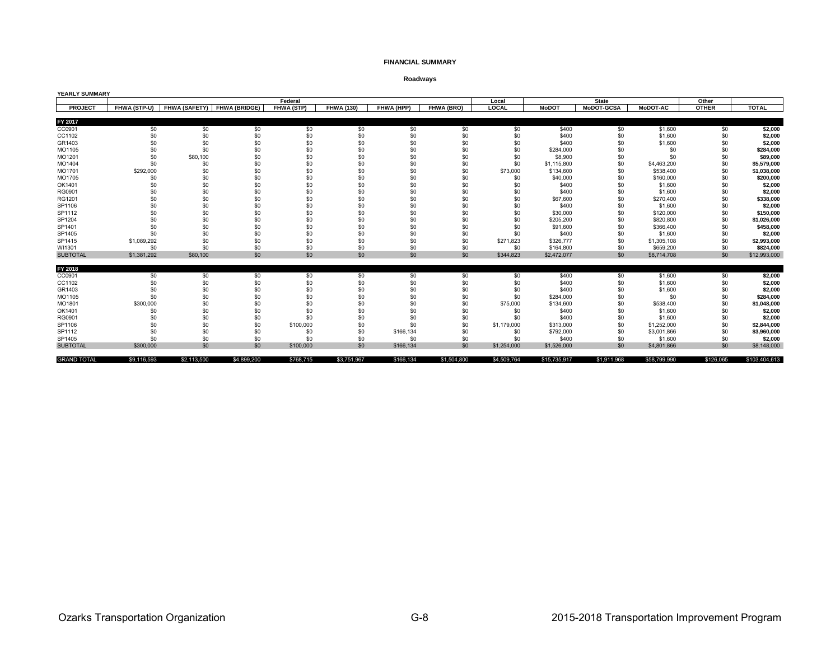#### **FINANCIAL SUMMARY**

### **Roadways**

| YEARLY SUMMARY     |              |             |                             |                   |             |            |             |              |              |                   |              |              |               |
|--------------------|--------------|-------------|-----------------------------|-------------------|-------------|------------|-------------|--------------|--------------|-------------------|--------------|--------------|---------------|
|                    |              |             |                             | Federal           |             |            |             | Local        |              | <b>State</b>      |              | Other        |               |
| <b>PROJECT</b>     | FHWA (STP-U) |             | FHWA (SAFETY) FHWA (BRIDGE) | <b>FHWA (STP)</b> | FHWA (130)  | FHWA (HPP) | FHWA (BRO)  | <b>LOCAL</b> | <b>MoDOT</b> | <b>MoDOT-GCSA</b> | MoDOT-AC     | <b>OTHER</b> | <b>TOTAL</b>  |
|                    |              |             |                             |                   |             |            |             |              |              |                   |              |              |               |
| FY 2017            |              |             |                             |                   |             |            |             |              |              |                   |              |              |               |
| CC0901             | \$0          | \$0         | \$0                         | \$0               | \$0         | \$0        | \$0         | \$0          | \$400        | \$0               | \$1,600      | \$0          | \$2,000       |
| CC1102             | \$0          | \$0         | \$0                         | \$0               | \$0         | \$0        | \$0         | \$0          | \$400        | \$0               | \$1,600      | \$0          | \$2,000       |
| GR1403             | \$0          | \$0         | \$0                         | \$0               | \$0         | \$0        | \$0         | \$0          | \$400        | \$0               | \$1,600      | \$0          | \$2,000       |
| MO1105             | \$0          | \$0         | \$0                         | \$0               | \$0         | \$0        | \$0         | \$0          | \$284,000    | \$0               | \$0          | \$0          | \$284,000     |
| MO1201             | \$0          | \$80,100    | \$0                         | \$0               | \$0         | \$0        | \$0         | \$0          | \$8,900      | \$0               | \$0          | \$0          | \$89,000      |
| MO1404             | \$0          | \$0         | \$0                         | \$0               | \$0         | \$0        | \$0         | \$0          | \$1,115,800  | \$0               | \$4,463,200  | \$0          | \$5,579,000   |
| MO1701             | \$292,000    | \$0         | \$0                         | \$0               | \$0         | \$0        | \$0         | \$73,000     | \$134,600    | \$0               | \$538,400    | \$0          | \$1,038,000   |
| MO1705             | \$0          | \$0         | \$0                         | \$0               | \$0         | \$0        | \$0         | \$0          | \$40,000     | \$0               | \$160,000    | \$0          | \$200,000     |
| OK1401             | \$0          | \$0         | \$0                         | \$0               | \$0         | \$0        | \$0         | \$0          | \$400        | \$0               | \$1,600      | \$0          | \$2,000       |
| RG0901             | \$0          | \$0         | \$0                         | \$0               | \$0         | \$0        | \$0         | \$0          | \$400        | \$0               | \$1,600      | \$0          | \$2,000       |
| RG1201             | \$0          | \$C         | \$0                         | \$0               | \$0         | \$0        | \$0         | \$0          | \$67,600     | \$0               | \$270,400    | \$0          | \$338,000     |
| SP1106             | \$0          | \$0         | \$0                         | \$0               | \$0         | \$0        | \$0         | \$0          | \$400        | \$0               | \$1,600      | \$0          | \$2,000       |
| SP1112             | \$0          | \$0         | \$0                         | \$0               | \$0         | \$0        | \$0         | \$0          | \$30,000     | \$0               | \$120,000    | \$0          | \$150,000     |
| SP1204             | \$0          | \$0         | \$0                         | \$0               | \$0         | \$0        | \$0         | \$0          | \$205,200    | \$0               | \$820,800    | \$0          | \$1,026,000   |
| SP1401             | \$0          | \$0         | \$0                         | \$0               | \$0         | \$0        | \$0         | \$0          | \$91,600     | \$0               | \$366,400    | \$0          | \$458,000     |
| SP1405             | \$0          | \$0         | \$0                         | \$0               | \$0         | \$0        | \$0         | \$0          | \$400        | \$0               | \$1,600      | \$0          | \$2,000       |
| SP1415             | \$1,089,292  | \$0         | \$0                         | \$0               | \$0         | \$0        | \$0         | \$271.823    | \$326,777    | \$0               | \$1,305,108  | \$0          | \$2,993,000   |
| WI1301             | \$0          | \$0         | \$0                         | \$0               | \$0         | \$0        | \$0         | \$0          | \$164,800    | \$0               | \$659,200    | \$0          | \$824,000     |
| <b>SUBTOTAL</b>    | \$1,381,292  | \$80,100    | \$0                         | \$0               | \$0         | \$0        | \$0         | \$344.823    | \$2,472,077  | \$0               | \$8,714,708  | \$0          | \$12,993,000  |
|                    |              |             |                             |                   |             |            |             |              |              |                   |              |              |               |
| FY 2018            |              |             |                             |                   |             |            |             |              |              |                   |              |              |               |
| CC0901             | \$0          | \$0         | \$0                         | \$0               | \$0         | \$0        | \$0         | \$0          | \$400        | \$0               | \$1,600      | \$0          | \$2,000       |
| CC1102             | \$0          | \$0         | \$0                         | \$0               | \$0         | \$0        | \$0         | \$0          | \$400        | \$0               | \$1,600      | \$0          | \$2,000       |
| GR1403             | \$0          | \$0         | \$0                         | \$0               | \$0         | \$0        | \$0         | \$0          | \$400        | \$0               | \$1,600      | \$0          | \$2,000       |
| MO1105             | \$0          | \$0         | \$0                         | \$0               | \$0         | \$0        | \$0         | \$0          | \$284,000    | \$0               | \$0          | \$0          | \$284,000     |
| MO1801             | \$300,000    | \$0         | \$0                         | \$0               | \$0         | \$0        | \$0         | \$75,000     | \$134,600    | \$0               | \$538,400    | \$0          | \$1,048,000   |
| OK1401             | \$0          | \$0         | \$0                         | \$0               | \$0         | \$0        | \$0         | \$0          | \$400        | \$0               | \$1,600      | \$0          | \$2,000       |
| RG0901             | \$0          | \$0         | \$0                         | \$0               | \$0         | \$0        | \$0         | \$0          | \$400        | \$0               | \$1,600      | \$0          | \$2,000       |
| SP1106             | \$0          | \$0         | \$0                         | \$100,000         | \$0         | \$0        | \$0         | \$1,179,000  | \$313,000    | \$0               | \$1,252,000  | \$0          | \$2,844,000   |
| SP1112             | \$0          | \$0         | \$0                         | \$0               | \$0         | \$166,134  | \$0         | \$0          | \$792,000    | \$0               | \$3,001,866  | \$0          | \$3,960,000   |
| SP1405             | \$0          | \$0         | \$0                         | \$0               | \$0         | \$0        | \$0         | \$0          | \$400        | \$0               | \$1,600      | \$0          | \$2,000       |
| <b>SUBTOTAL</b>    | \$300,000    | \$0         | \$0                         | \$100,000         | \$0         | \$166,134  | \$0         | \$1,254,000  | \$1,526,000  | \$0               | \$4,801,866  | \$0          | \$8,148,000   |
|                    |              |             |                             |                   |             |            |             |              |              |                   |              |              |               |
| <b>GRAND TOTAL</b> | \$9.116.593  | \$2,113,500 | \$4,899,200                 | \$768.715         | \$3.751.967 | \$166,134  | \$1.504.800 | \$4,509,764  | \$15,735,917 | \$1,911,968       | \$58,799,990 | \$126.065    | \$103.404.613 |